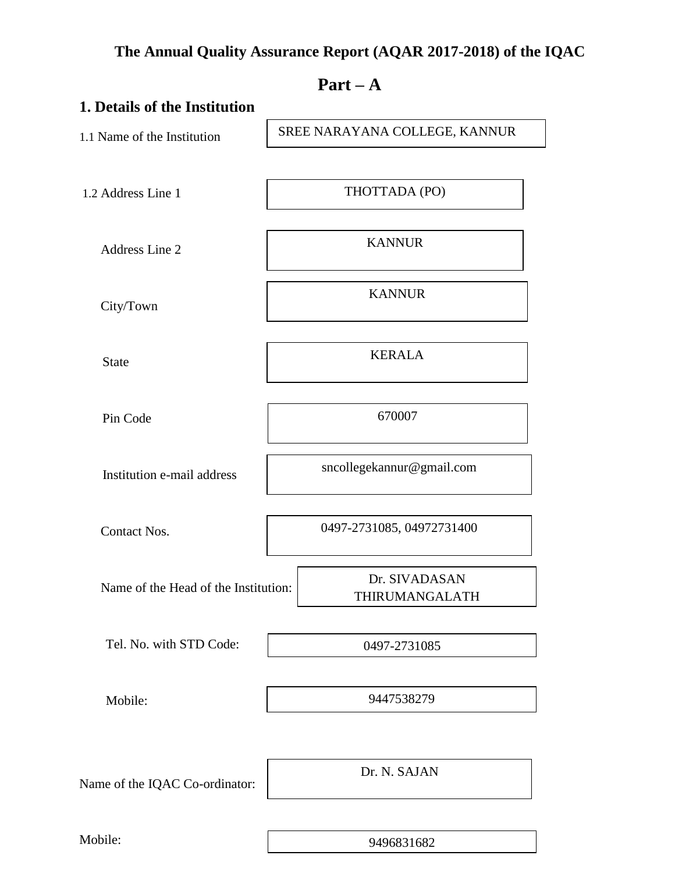## **The Annual Quality Assurance Report (AQAR 2017-2018) of the IQAC**

|                                      | $Part - A$                      |
|--------------------------------------|---------------------------------|
| 1. Details of the Institution        |                                 |
| 1.1 Name of the Institution          | SREE NARAYANA COLLEGE, KANNUR   |
| 1.2 Address Line 1                   | THOTTADA (PO)                   |
| Address Line 2                       | <b>KANNUR</b>                   |
| City/Town                            | <b>KANNUR</b>                   |
| <b>State</b>                         | <b>KERALA</b>                   |
| Pin Code                             | 670007                          |
| Institution e-mail address           | sncollegekannur@gmail.com       |
| <b>Contact Nos.</b>                  | 0497-2731085, 04972731400       |
| Name of the Head of the Institution: | Dr. SIVADASAN<br>THIRUMANGALATH |
| Tel. No. with STD Code:              | 0497-2731085                    |
| Mobile:                              | 9447538279                      |
| Name of the IQAC Co-ordinator:       | Dr. N. SAJAN                    |
| Mobile:                              | 9496831682                      |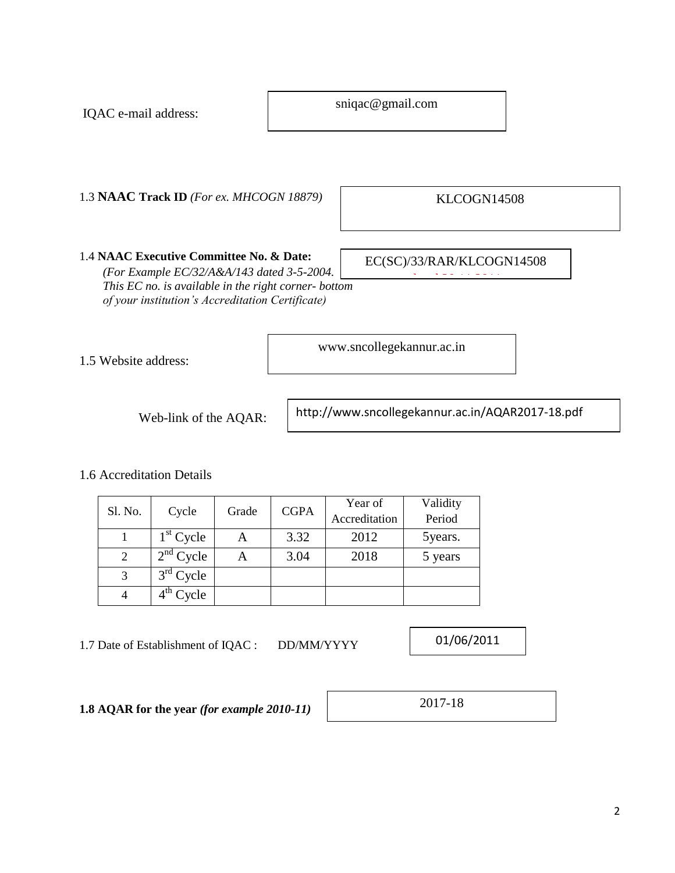sniqac@gmail.com

www.sncollegekannur.ac.in

1.3 **NAAC Track ID** *(For ex. MHCOGN 18879)*

KLCOGN14508

1.4 **NAAC Executive Committee No. & Date:** *(For Example EC/32/A&A/143 dated 3-5-2004. This EC no. is available in the right corner- bottom of your institution's Accreditation Certificate)*

EC(SC)/33/RAR/KLCOGN14508 dated 30.11.2011<br>1

1.5 Website address:

IQAC e-mail address:

Web-link of the AQAR:

http://www.sncollegekannur.ac.in/AQAR2017-18.pdf

1.6 Accreditation Details

|         |                       | Grade |             | Year of       | Validity |
|---------|-----------------------|-------|-------------|---------------|----------|
| Sl. No. | Cycle                 |       | <b>CGPA</b> | Accreditation | Period   |
|         | $1st$ Cycle           |       | 3.32        | 2012          | 5 years. |
|         | $2nd$ Cycle           | Α     | 3.04        | 2018          | 5 years  |
|         | $3rd$ Cycle           |       |             |               |          |
|         | $4^{\text{th}}$ Cycle |       |             |               |          |

1.7 Date of Establishment of IQAC : DD/MM/YYYY

01/06/2011

**1.8 AQAR for the year** *(for example 2010-11)* **2017-18**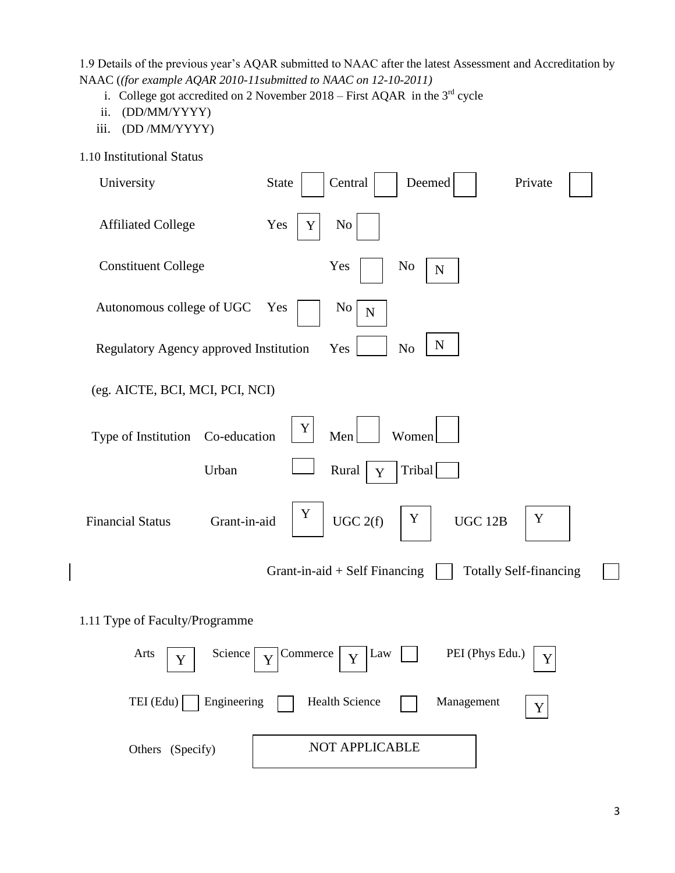1.9 Details of the previous year's AQAR submitted to NAAC after the latest Assessment and Accreditation by NAAC (*(for example AQAR 2010-11submitted to NAAC on 12-10-2011)*

- i. College got accredited on 2 November 2018 First AQAR in the  $3<sup>rd</sup>$  cycle
- ii. (DD/MM/YYYY)
- iii. (DD /MM/YYYY)
- 1.10 Institutional Status

| University                              | Central<br><b>State</b><br>Deemed<br>Private                                                                                        |
|-----------------------------------------|-------------------------------------------------------------------------------------------------------------------------------------|
| <b>Affiliated College</b>               | Yes<br>N <sub>0</sub><br>Y                                                                                                          |
| <b>Constituent College</b>              | Yes<br>No<br>${\bf N}$                                                                                                              |
| Autonomous college of UGC               | Yes<br>No<br>$\mathbf N$                                                                                                            |
| Regulatory Agency approved Institution  | ${\bf N}$<br>N <sub>o</sub><br>Yes                                                                                                  |
| (eg. AICTE, BCI, MCI, PCI, NCI)         |                                                                                                                                     |
| Type of Institution Co-education        | Y<br>Men<br>Women                                                                                                                   |
| Urban                                   | Tribal<br>Rural<br>$\mathbf Y$                                                                                                      |
| Grant-in-aid<br><b>Financial Status</b> | Y<br>Y<br>Y<br>UGC 12B<br>UGC 2(f)                                                                                                  |
|                                         | <b>Totally Self-financing</b><br>Grant-in-aid $+$ Self Financing                                                                    |
| 1.11 Type of Faculty/Programme          |                                                                                                                                     |
| Arts<br>Y                               | Science $\sqrt{\sqrt{2}}$ Commerce<br>PEI (Phys Edu.)<br>$\vert$ Law<br>$\overline{\mathbf{Y}}$<br>$\mathbf Y$<br>$\mathbf{I}$<br>Ŧ |
| TEI (Edu)<br>Engineering                | Health Science<br>Management<br>Y                                                                                                   |
| Others (Specify)                        | NOT APPLICABLE                                                                                                                      |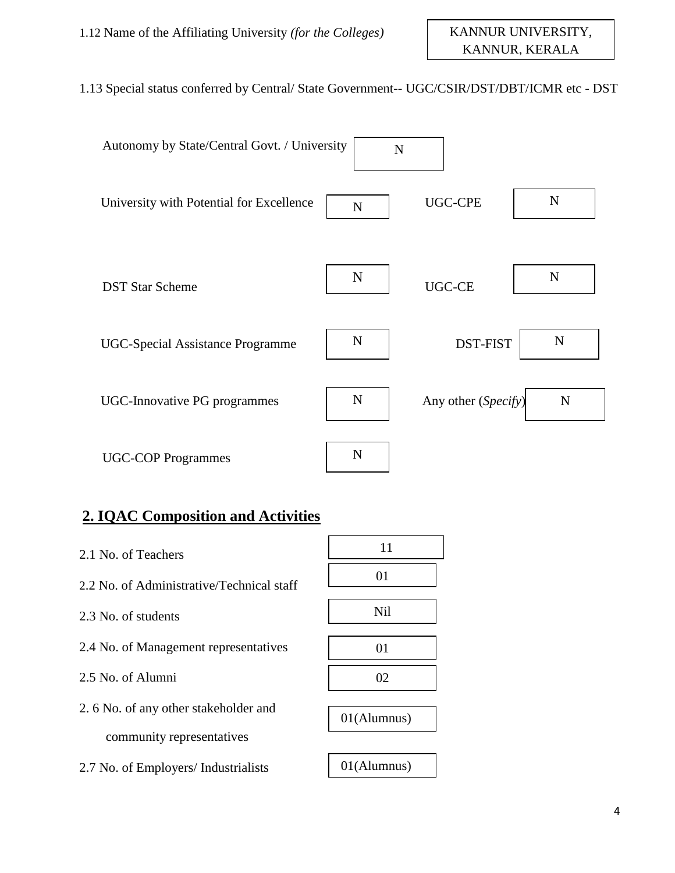### 1.13 Special status conferred by Central/ State Government-- UGC/CSIR/DST/DBT/ICMR etc - DST

| Autonomy by State/Central Govt. / University | N           |                     |             |
|----------------------------------------------|-------------|---------------------|-------------|
| University with Potential for Excellence     | $\mathbf N$ | <b>UGC-CPE</b>      | $\mathbf N$ |
| <b>DST Star Scheme</b>                       | N           | UGC-CE              | $\mathbf N$ |
| <b>UGC-Special Assistance Programme</b>      | $\mathbf N$ | DST-FIST            | N           |
| <b>UGC-Innovative PG programmes</b>          | $\mathbf N$ | Any other (Specify) | $\mathbf N$ |
| <b>UGC-COP Programmes</b>                    | N           |                     |             |

### **2. IQAC Composition and Activities**

2.1 No. of Teachers 2.2 No. of Administrative/Technical staff 2.3 No. of students 2.4 No. of Management representatives 2.5 No. of Alumni 2. 6 No. of any other stakeholder and community representatives 2.7 No. of Employers/ Industrialists 01(Alumnus) 01(Alumnus) 02 01 Nil 01 11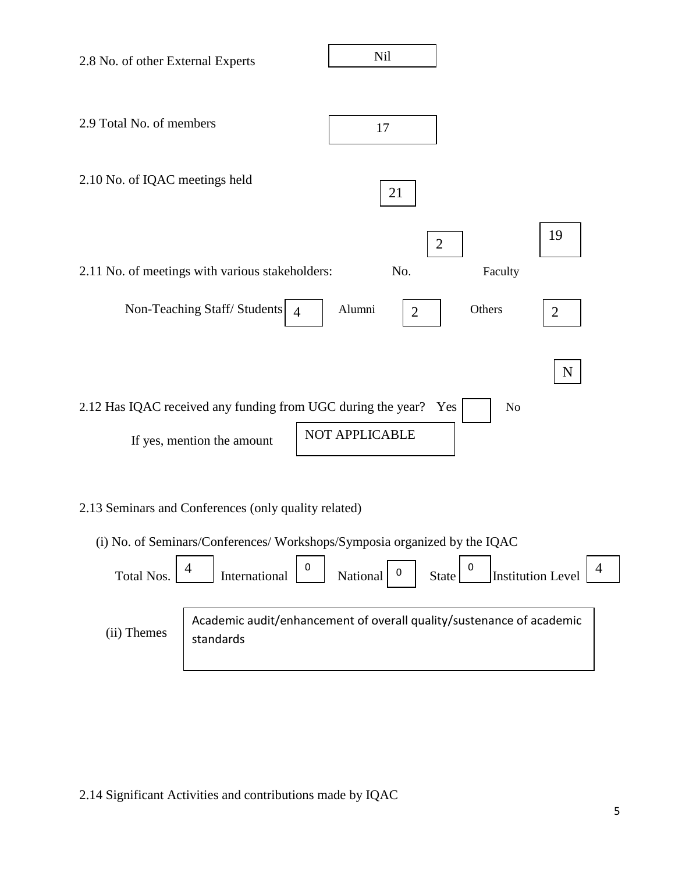

2.14 Significant Activities and contributions made by IQAC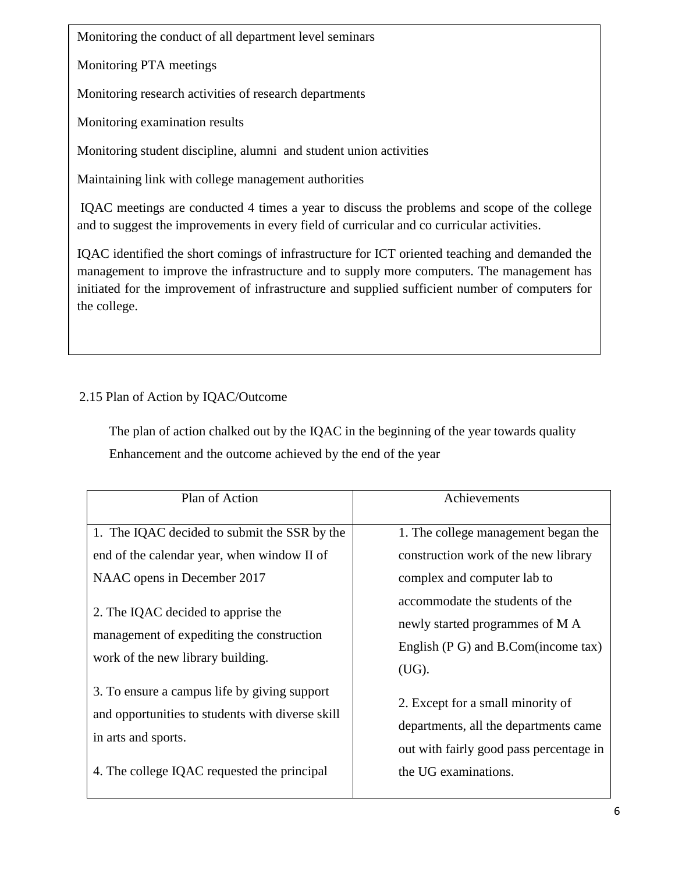Monitoring the conduct of all department level seminars

Monitoring PTA meetings

Monitoring research activities of research departments

Monitoring examination results

Monitoring student discipline, alumni and student union activities

Maintaining link with college management authorities

IQAC meetings are conducted 4 times a year to discuss the problems and scope of the college and to suggest the improvements in every field of curricular and co curricular activities.

IQAC identified the short comings of infrastructure for ICT oriented teaching and demanded the management to improve the infrastructure and to supply more computers. The management has initiated for the improvement of infrastructure and supplied sufficient number of computers for the college.

### 2.15 Plan of Action by IQAC/Outcome

 The plan of action chalked out by the IQAC in the beginning of the year towards quality Enhancement and the outcome achieved by the end of the year

| Plan of Action                                                                                                                                                                                                                                     | Achievements                                                                                                                                                                                                                       |
|----------------------------------------------------------------------------------------------------------------------------------------------------------------------------------------------------------------------------------------------------|------------------------------------------------------------------------------------------------------------------------------------------------------------------------------------------------------------------------------------|
| 1. The IQAC decided to submit the SSR by the<br>end of the calendar year, when window II of<br>NAAC opens in December 2017<br>2. The IQAC decided to apprise the<br>management of expediting the construction<br>work of the new library building. | 1. The college management began the<br>construction work of the new library<br>complex and computer lab to<br>accommodate the students of the<br>newly started programmes of M A<br>English $(P G)$ and B.Com(income tax)<br>(UG). |
| 3. To ensure a campus life by giving support<br>and opportunities to students with diverse skill<br>in arts and sports.<br>4. The college IQAC requested the principal                                                                             | 2. Except for a small minority of<br>departments, all the departments came<br>out with fairly good pass percentage in<br>the UG examinations.                                                                                      |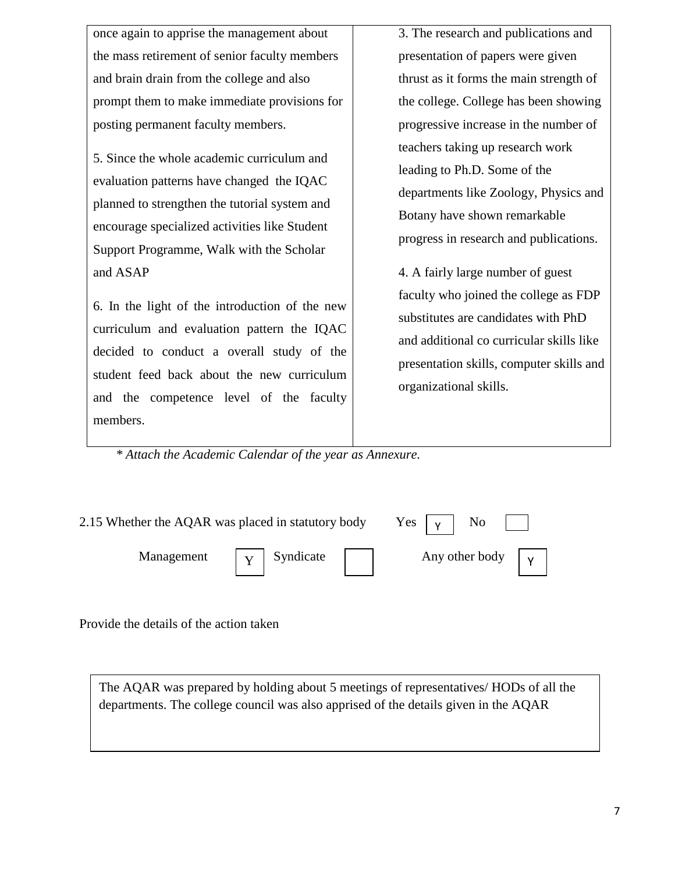once again to apprise the management about the mass retirement of senior faculty members and brain drain from the college and also prompt them to make immediate provisions for posting permanent faculty members.

5. Since the whole academic curriculum and evaluation patterns have changed the IQAC planned to strengthen the tutorial system and encourage specialized activities like Student Support Programme, Walk with the Scholar and ASAP

6. In the light of the introduction of the new curriculum and evaluation pattern the IQAC decided to conduct a overall study of the student feed back about the new curriculum and the competence level of the faculty members.

3. The research and publications and presentation of papers were given thrust as it forms the main strength of the college. College has been showing progressive increase in the number of teachers taking up research work leading to Ph.D. Some of the departments like Zoology, Physics and Botany have shown remarkable progress in research and publications.

4. A fairly large number of guest faculty who joined the college as FDP substitutes are candidates with PhD and additional co curricular skills like presentation skills, computer skills and organizational skills.

 *\* Attach the Academic Calendar of the year as Annexure.*

| 2.15 Whether the AQAR was placed in statutory body | Yes $\vert \gamma \vert$ No                             |                                     |  |
|----------------------------------------------------|---------------------------------------------------------|-------------------------------------|--|
|                                                    | Management $\vert \gamma \vert$ Syndicate $\vert \vert$ | Any other body $\vert \gamma \vert$ |  |

Provide the details of the action taken

The AQAR was prepared by holding about 5 meetings of representatives/ HODs of all the departments. The college council was also apprised of the details given in the AQAR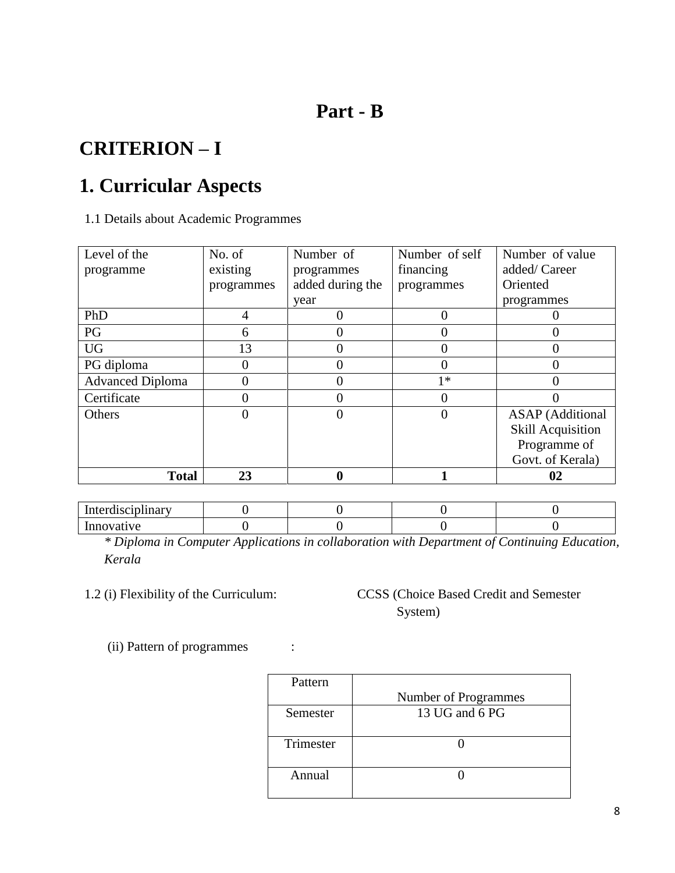### **Part - B**

# **CRITERION – I**

# **1. Curricular Aspects**

1.1 Details about Academic Programmes

| Level of the            | No. of     | Number of        | Number of self | Number of value          |
|-------------------------|------------|------------------|----------------|--------------------------|
| programme               | existing   | programmes       | financing      | added/Career             |
|                         | programmes | added during the | programmes     | Oriented                 |
|                         |            | year             |                | programmes               |
| PhD                     | 4          | $\theta$         |                |                          |
| PG                      | 6          | 0                |                |                          |
| <b>UG</b>               | 13         | $\theta$         |                | 0                        |
| PG diploma              |            | 0                |                | 0                        |
| <b>Advanced Diploma</b> |            | 0                | $1*$           | 0                        |
| Certificate             |            | 0                |                |                          |
| Others                  |            | 0                | O              | <b>ASAP</b> (Additional  |
|                         |            |                  |                | <b>Skill Acquisition</b> |
|                         |            |                  |                | Programme of             |
|                         |            |                  |                | Govt. of Kerala)         |
| <b>Total</b>            | 23         |                  |                | 02                       |

Interdisciplinary 0 0 0 0 0 0 0 Innovative 0 0 0 0 0 0

*\* Diploma in Computer Applications in collaboration with Department of Continuing Education, Kerala*

### 1.2 (i) Flexibility of the Curriculum: CCSS (Choice Based Credit and Semester System)

(ii) Pattern of programmes :

| Pattern   |                      |
|-----------|----------------------|
|           | Number of Programmes |
| Semester  | 13 UG and 6 PG       |
| Trimester |                      |
| Annual    |                      |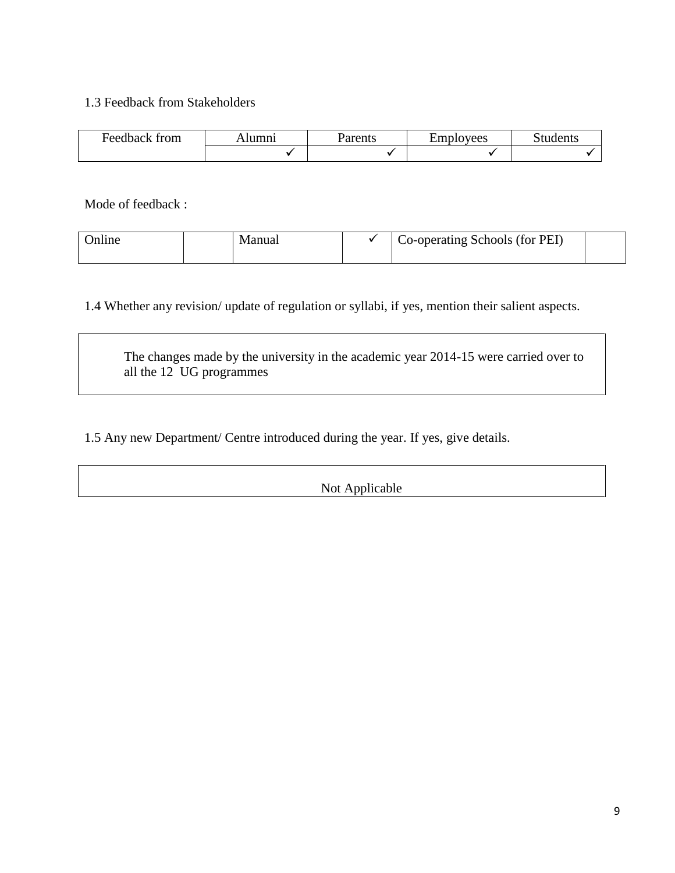#### 1.3 Feedback from Stakeholders

| $\overline{\phantom{0}}$<br><b>Feedback</b><br>trom | umni! | urents | –<br>umple<br>lovees | tudents |
|-----------------------------------------------------|-------|--------|----------------------|---------|
|                                                     |       |        |                      |         |

Mode of feedback :

| anua |  | Co-operating Schools (for PEI) |  |
|------|--|--------------------------------|--|
|------|--|--------------------------------|--|

1.4 Whether any revision/ update of regulation or syllabi, if yes, mention their salient aspects.

The changes made by the university in the academic year 2014-15 were carried over to all the 12 UG programmes

1.5 Any new Department/ Centre introduced during the year. If yes, give details.

Not Applicable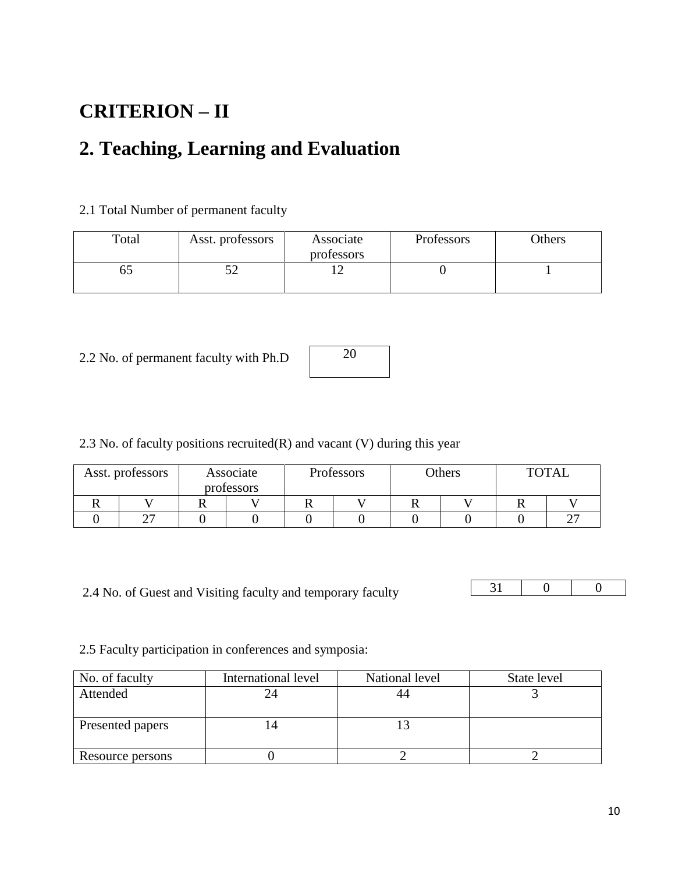# **CRITERION – II**

# **2. Teaching, Learning and Evaluation**

#### 2.1 Total Number of permanent faculty

| Total | Asst. professors<br>Associate<br>professors |  | Professors | <b>Others</b> |  |
|-------|---------------------------------------------|--|------------|---------------|--|
| CO    | ے ر                                         |  |            |               |  |

2.2 No. of permanent faculty with Ph.D



2.3 No. of faculty positions recruited $(R)$  and vacant  $(V)$  during this year

| Asst. professors | Associate  | Professors |  | Others |  |  |  | <b>TOTAL</b> |
|------------------|------------|------------|--|--------|--|--|--|--------------|
|                  | professors |            |  |        |  |  |  |              |
|                  |            |            |  |        |  |  |  |              |
| <b>^^</b>        |            |            |  |        |  |  |  |              |

2.4 No. of Guest and Visiting faculty and temporary faculty

31 0 0

2.5 Faculty participation in conferences and symposia:

| No. of faculty   | International level | National level | State level |
|------------------|---------------------|----------------|-------------|
| Attended         |                     |                |             |
|                  |                     |                |             |
| Presented papers |                     |                |             |
|                  |                     |                |             |
| Resource persons |                     |                |             |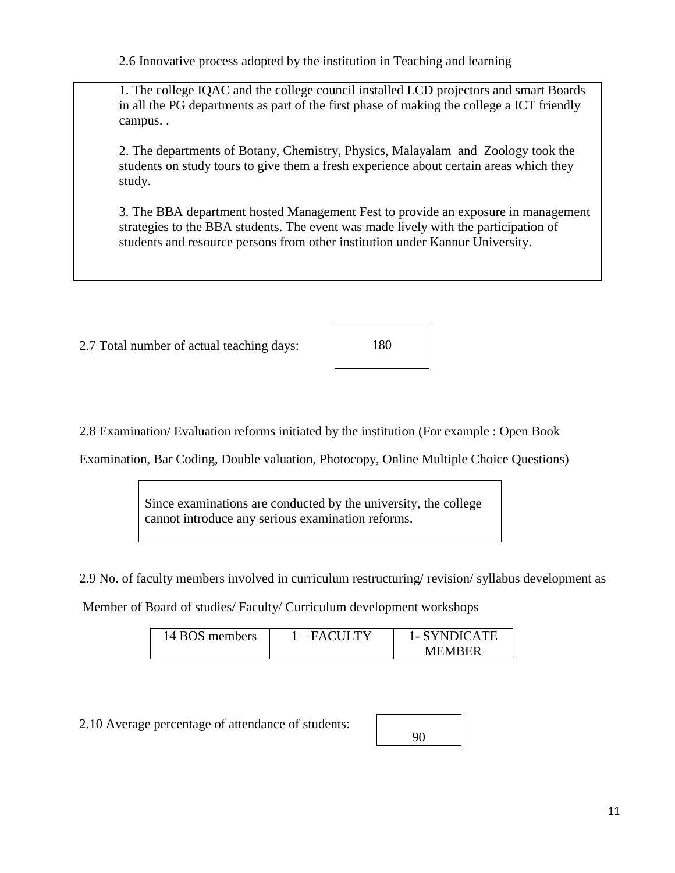2.6 Innovative process adopted by the institution in Teaching and learning

1. The college IQAC and the college council installed LCD projectors and smart Boards in all the PG departments as part of the first phase of making the college a ICT friendly campus. .

2. The departments of Botany, Chemistry, Physics, Malayalam and Zoology took the students on study tours to give them a fresh experience about certain areas which they study.

3. The BBA department hosted Management Fest to provide an exposure in management strategies to the BBA students. The event was made lively with the participation of students and resource persons from other institution under Kannur University.

2.7 Total number of actual teaching days:

180

2.8 Examination/ Evaluation reforms initiated by the institution (For example : Open Book

Examination, Bar Coding, Double valuation, Photocopy, Online Multiple Choice Questions)

Since examinations are conducted by the university, the college cannot introduce any serious examination reforms.

2.9 No. of faculty members involved in curriculum restructuring/ revision/ syllabus development as

Member of Board of studies/ Faculty/ Curriculum development workshops

| 14 BOS members | $1 - FACTULY$ | 1- SYNDICATE |
|----------------|---------------|--------------|
|                |               | MEMBER       |

2.10 Average percentage of attendance of students: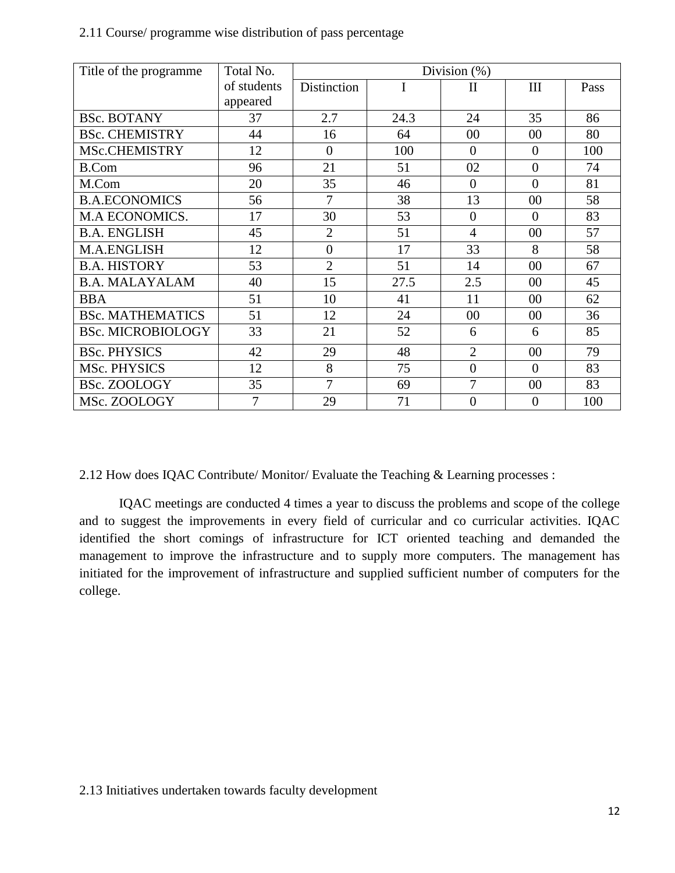| Title of the programme.  | Total No.   | Division $(\%)$ |      |                  |                |      |
|--------------------------|-------------|-----------------|------|------------------|----------------|------|
|                          | of students | Distinction     |      | $\rm II$         | III            | Pass |
|                          | appeared    |                 |      |                  |                |      |
| <b>BSc. BOTANY</b>       | 37          | 2.7             | 24.3 | 24               | 35             | 86   |
| <b>BSc. CHEMISTRY</b>    | 44          | 16              | 64   | 00               | $00\,$         | 80   |
| MSc.CHEMISTRY            | 12          | $\theta$        | 100  | $\overline{0}$   | $\theta$       | 100  |
| <b>B.Com</b>             | 96          | 21              | 51   | 02               | $\Omega$       | 74   |
| M.Com                    | 20          | 35              | 46   | $\overline{0}$   | $\overline{0}$ | 81   |
| <b>B.A.ECONOMICS</b>     | 56          | $\tau$          | 38   | 13               | $00\,$         | 58   |
| M.A ECONOMICS.           | 17          | 30              | 53   | $\boldsymbol{0}$ | $\Omega$       | 83   |
| <b>B.A. ENGLISH</b>      | 45          | $\overline{2}$  | 51   | $\overline{4}$   | $00\,$         | 57   |
| M.A.ENGLISH              | 12          | $\overline{0}$  | 17   | 33               | 8              | 58   |
| <b>B.A. HISTORY</b>      | 53          | $\overline{2}$  | 51   | 14               | $00\,$         | 67   |
| <b>B.A. MALAYALAM</b>    | 40          | 15              | 27.5 | 2.5              | $00\,$         | 45   |
| <b>BBA</b>               | 51          | 10              | 41   | 11               | $00\,$         | 62   |
| <b>BSc. MATHEMATICS</b>  | 51          | 12              | 24   | 00               | $00\,$         | 36   |
| <b>BSc. MICROBIOLOGY</b> | 33          | 21              | 52   | 6                | 6              | 85   |
| <b>BSc. PHYSICS</b>      | 42          | 29              | 48   | $\overline{2}$   | $00\,$         | 79   |
| MSc. PHYSICS             | 12          | 8               | 75   | $\boldsymbol{0}$ | $\Omega$       | 83   |
| BSc. ZOOLOGY             | 35          | $\overline{7}$  | 69   | $\overline{7}$   | $00\,$         | 83   |
| MSc. ZOOLOGY             | 7           | 29              | 71   | $\overline{0}$   | $\overline{0}$ | 100  |

#### 2.11 Course/ programme wise distribution of pass percentage

2.12 How does IQAC Contribute/ Monitor/ Evaluate the Teaching & Learning processes :

IQAC meetings are conducted 4 times a year to discuss the problems and scope of the college and to suggest the improvements in every field of curricular and co curricular activities. IQAC identified the short comings of infrastructure for ICT oriented teaching and demanded the management to improve the infrastructure and to supply more computers. The management has initiated for the improvement of infrastructure and supplied sufficient number of computers for the college.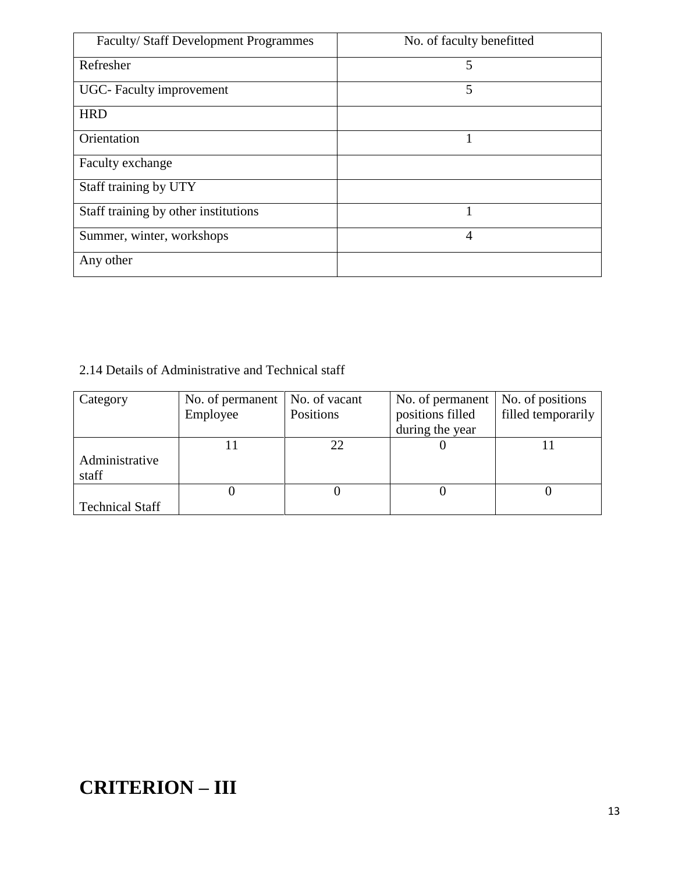| Faculty/ Staff Development Programmes | No. of faculty benefitted |
|---------------------------------------|---------------------------|
| Refresher                             | 5                         |
| <b>UGC-</b> Faculty improvement       | 5                         |
| <b>HRD</b>                            |                           |
| Orientation                           |                           |
| Faculty exchange                      |                           |
| Staff training by UTY                 |                           |
| Staff training by other institutions  |                           |
| Summer, winter, workshops             | 4                         |
| Any other                             |                           |

### 2.14 Details of Administrative and Technical staff

| Category                | No. of permanent | No. of vacant | No. of permanent | No. of positions   |
|-------------------------|------------------|---------------|------------------|--------------------|
|                         | Employee         | Positions     | positions filled | filled temporarily |
|                         |                  |               | during the year  |                    |
|                         |                  | 22            |                  |                    |
| Administrative<br>staff |                  |               |                  |                    |
|                         |                  |               |                  |                    |
| <b>Technical Staff</b>  |                  |               |                  |                    |

# **CRITERION – III**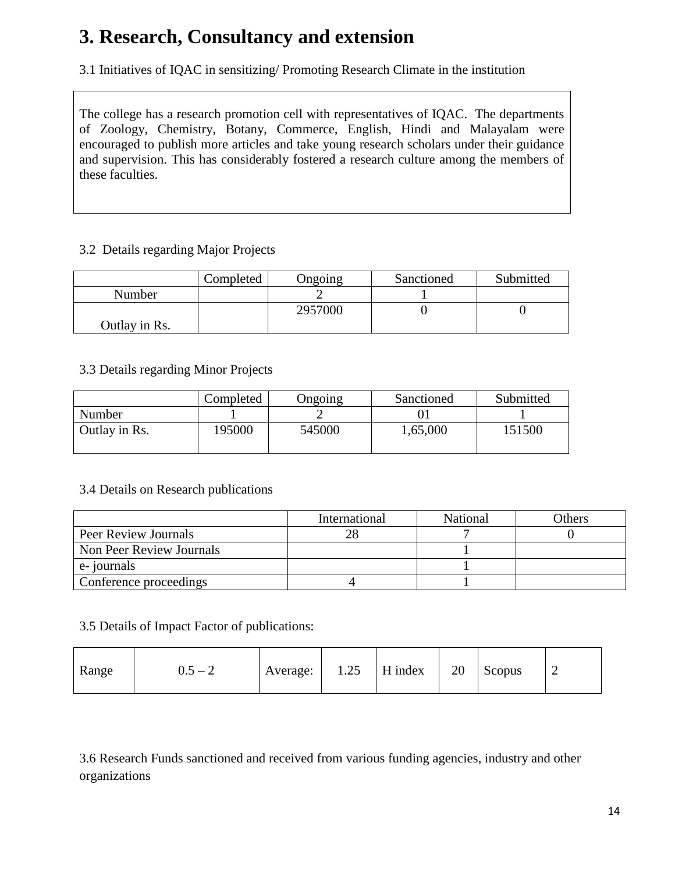# **3. Research, Consultancy and extension**

3.1 Initiatives of IQAC in sensitizing/ Promoting Research Climate in the institution

The college has a research promotion cell with representatives of IQAC. The departments of Zoology, Chemistry, Botany, Commerce, English, Hindi and Malayalam were encouraged to publish more articles and take young research scholars under their guidance and supervision. This has considerably fostered a research culture among the members of these faculties.

#### 3.2 Details regarding Major Projects

|               | Completed | Ongoing | Sanctioned | Submitted |
|---------------|-----------|---------|------------|-----------|
| Number        |           |         |            |           |
|               |           | 2957000 |            |           |
| Outlay in Rs. |           |         |            |           |

#### 3.3 Details regarding Minor Projects

|               | Completed | Ongoing | Sanctioned | Submitted |
|---------------|-----------|---------|------------|-----------|
| Number        |           |         |            |           |
| Outlay in Rs. | 195000    | 545000  | 1,65,000   | 151500    |

#### 3.4 Details on Research publications

|                          | International | <b>National</b> | Others |
|--------------------------|---------------|-----------------|--------|
| Peer Review Journals     |               |                 |        |
| Non Peer Review Journals |               |                 |        |
| e-journals               |               |                 |        |
| Conference proceedings   |               |                 |        |

#### 3.5 Details of Impact Factor of publications:

| Range | $0.5 - 2$ | Average: | 1.25 | H index | 20 | Scopus | ∼ |
|-------|-----------|----------|------|---------|----|--------|---|
|-------|-----------|----------|------|---------|----|--------|---|

3.6 Research Funds sanctioned and received from various funding agencies, industry and other organizations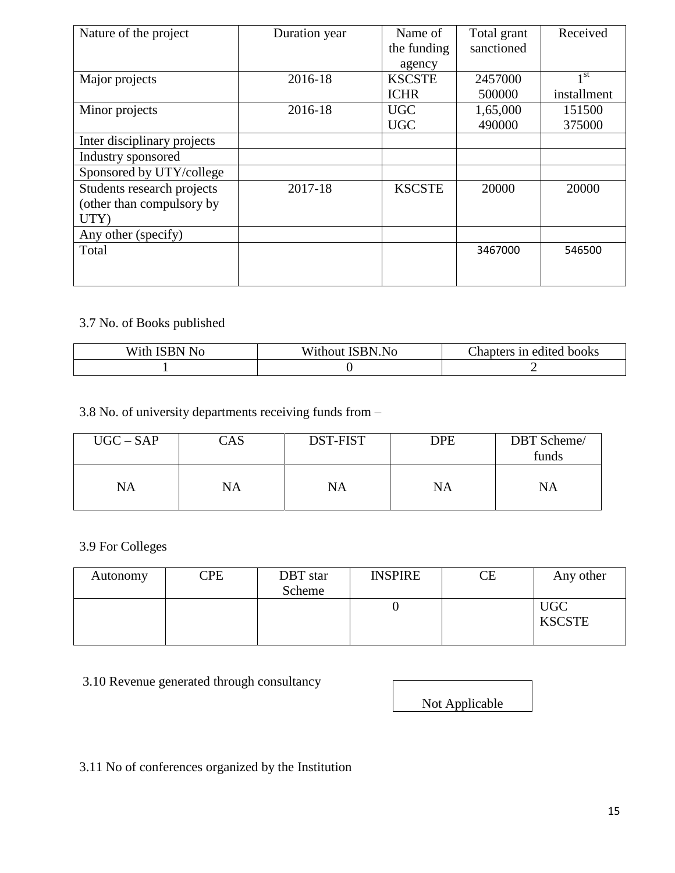| Nature of the project       | Duration year | Name of       | Total grant | Received        |
|-----------------------------|---------------|---------------|-------------|-----------------|
|                             |               | the funding   | sanctioned  |                 |
|                             |               | agency        |             |                 |
| Major projects              | 2016-18       | <b>KSCSTE</b> | 2457000     | 1 <sup>st</sup> |
|                             |               | <b>ICHR</b>   | 500000      | installment     |
| Minor projects              | 2016-18       | <b>UGC</b>    | 1,65,000    | 151500          |
|                             |               | <b>UGC</b>    | 490000      | 375000          |
| Inter disciplinary projects |               |               |             |                 |
| Industry sponsored          |               |               |             |                 |
| Sponsored by UTY/college    |               |               |             |                 |
| Students research projects  | 2017-18       | <b>KSCSTE</b> | 20000       | 20000           |
| (other than compulsory by   |               |               |             |                 |
| UTY)                        |               |               |             |                 |
| Any other (specify)         |               |               |             |                 |
| Total                       |               |               | 3467000     | 546500          |
|                             |               |               |             |                 |
|                             |               |               |             |                 |

### 3.7 No. of Books published

| $\mathbb{I}$ No<br>'SRN<br>W 1th | $TTT^*$ , 1<br><b>ISBN.No</b><br>/1thout<br>W. | Chapters in edited books |
|----------------------------------|------------------------------------------------|--------------------------|
|                                  |                                                |                          |

3.8 No. of university departments receiving funds from –

| $UGC - SAP$ | CAS | DST-FIST | DPE | DBT Scheme/<br>funds |
|-------------|-----|----------|-----|----------------------|
| <b>NA</b>   | NA  | NA       | NA  | <b>NA</b>            |

3.9 For Colleges

| Autonomy | $\mathbb{C}\mathrm{PE}$ | DBT star | <b>INSPIRE</b> | СE | Any other     |
|----------|-------------------------|----------|----------------|----|---------------|
|          |                         | Scheme   |                |    |               |
|          |                         |          |                |    | <b>UGC</b>    |
|          |                         |          |                |    | <b>KSCSTE</b> |
|          |                         |          |                |    |               |

3.10 Revenue generated through consultancy

Not Applicable

3.11 No of conferences organized by the Institution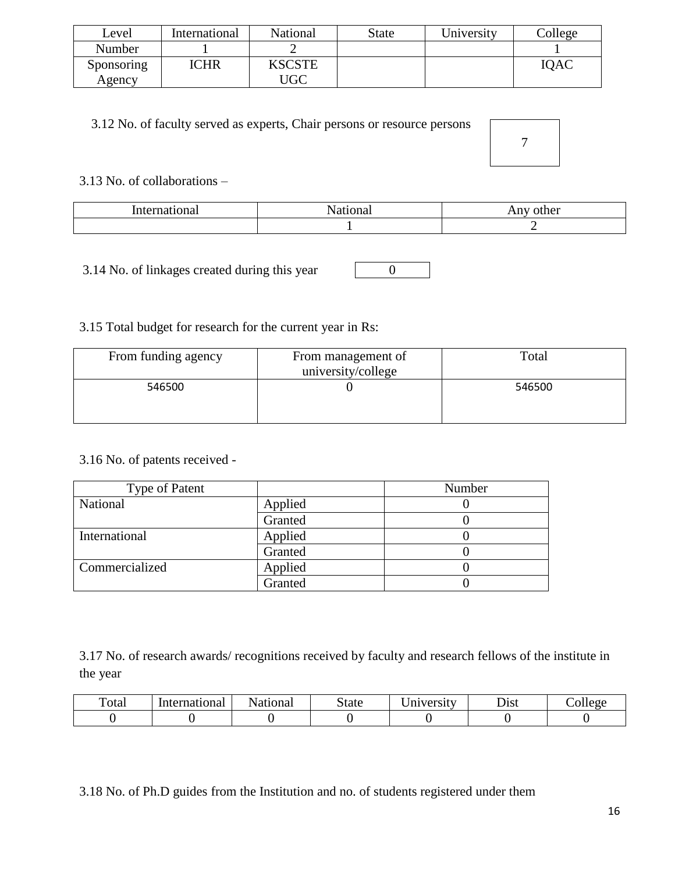| Level      | International | National      | <b>State</b> | University | $\text{Collect}$ |
|------------|---------------|---------------|--------------|------------|------------------|
| Number     |               |               |              |            |                  |
| Sponsoring | <b>ICHR</b>   | <b>KSCSTE</b> |              |            | <b>IOAC</b>      |
| Agency     |               | UGC           |              |            |                  |

#### 3.12 No. of faculty served as experts, Chair persons or resource persons

7

#### 3.13 No. of collaborations –

|  | --<br>uici<br>1 M.I |
|--|---------------------|
|  | _                   |

0

3.14 No. of linkages created during this year

### 3.15 Total budget for research for the current year in Rs:

| From funding agency | From management of<br>university/college | Total  |
|---------------------|------------------------------------------|--------|
| 546500              |                                          | 546500 |

#### 3.16 No. of patents received -

| Type of Patent |         | Number |
|----------------|---------|--------|
| National       | Applied |        |
|                | Granted |        |
| International  | Applied |        |
|                | Granted |        |
| Commercialized | Applied |        |
|                | Granted |        |

3.17 No. of research awards/ recognitions received by faculty and research fellows of the institute in the year

| $\mathbf{H}$<br>Fotal | International | National | state | $\sim$ $\sim$<br>Jniversity | Dıst | olleoe |
|-----------------------|---------------|----------|-------|-----------------------------|------|--------|
|                       |               |          |       |                             |      |        |

3.18 No. of Ph.D guides from the Institution and no. of students registered under them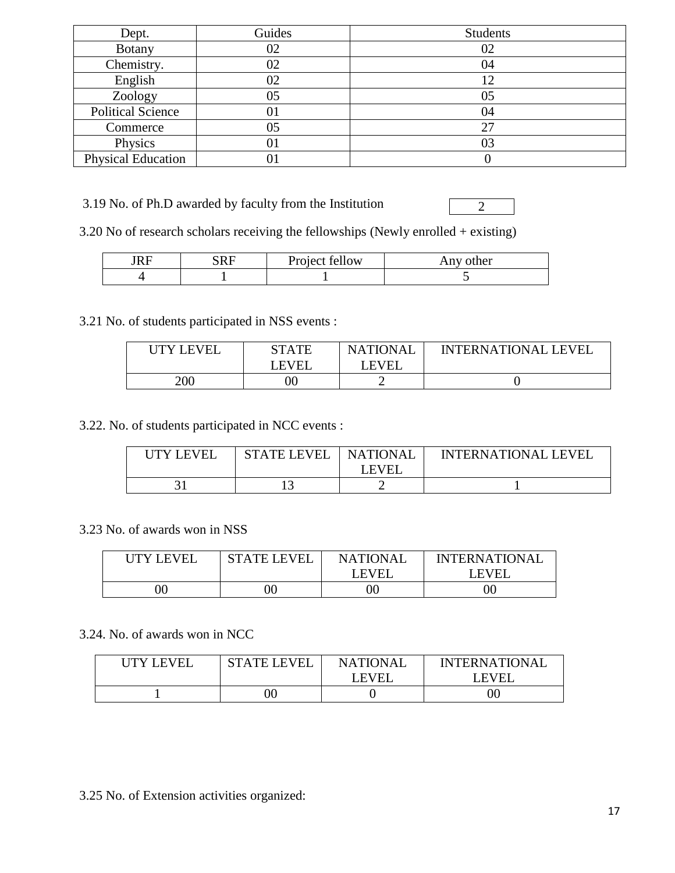| Dept.                     | Guides | <b>Students</b> |
|---------------------------|--------|-----------------|
| <b>Botany</b>             | 02     | 02              |
| Chemistry.                | 02     | 04              |
| English                   | 02     | 12              |
| Zoology                   | 05     | 05              |
| <b>Political Science</b>  | ΟI     | 04              |
| Commerce                  | 05     | 27              |
| Physics                   | 01     | 03              |
| <b>Physical Education</b> |        |                 |

3.19 No. of Ph.D awarded by faculty from the Institution

2

3.20 No of research scholars receiving the fellowships (Newly enrolled + existing)

| 211 | CDE<br>ĸ<br><b>NTTT</b> | 0.11<br>Project f<br>tellow | other<br>Any |
|-----|-------------------------|-----------------------------|--------------|
|     |                         |                             |              |

3.21 No. of students participated in NSS events :

| <b>UTY LEVEL</b> | STATE | <b>NATIONAL</b> | <b>INTERNATIONAL LEVEL</b> |
|------------------|-------|-----------------|----------------------------|
|                  | LEVEL | <b>LEVEL</b>    |                            |
| 200              |       |                 |                            |

3.22. No. of students participated in NCC events :

| UTY LEVEI | <b>STATE LEVEL</b> | <b>NATIONAL</b><br>I EVEI | <b>INTERNATIONAL LEVEL</b> |
|-----------|--------------------|---------------------------|----------------------------|
|           |                    |                           |                            |

3.23 No. of awards won in NSS

| UTY LEVEL | <b>STATE LEVEL</b> | <b>NATIONAL</b> | <b>INTERNATIONAL</b> |
|-----------|--------------------|-----------------|----------------------|
|           |                    | LEVEL           | <b>LEVEI</b>         |
|           | JC                 | OC)             | ')C                  |

#### 3.24. No. of awards won in NCC

| <b>I ITY LEVEL</b> | STATE I EVEI | <b>NATIONAL</b> | <b>INTERNATIONAL</b> |
|--------------------|--------------|-----------------|----------------------|
|                    |              | LEVEI           | <b>FVFI</b>          |
|                    | ЭC           |                 | 00                   |

3.25 No. of Extension activities organized: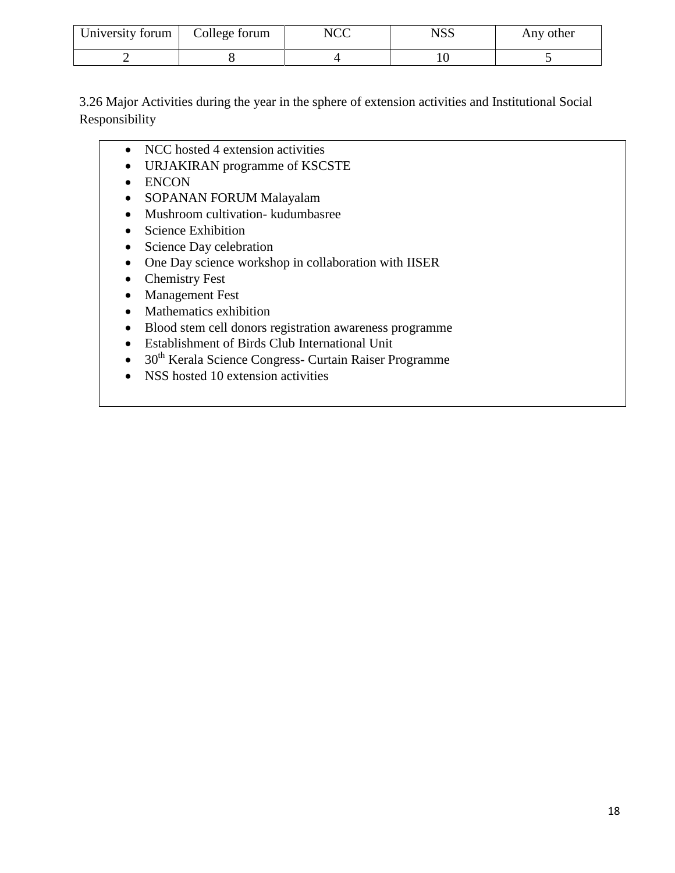| University forum | College forum | NCC | NSS | Any other |
|------------------|---------------|-----|-----|-----------|
|                  |               |     |     |           |

3.26 Major Activities during the year in the sphere of extension activities and Institutional Social Responsibility

- NCC hosted 4 extension activities
- URJAKIRAN programme of KSCSTE
- ENCON
- SOPANAN FORUM Malayalam
- Mushroom cultivation- kudumbasree
- Science Exhibition
- Science Day celebration
- One Day science workshop in collaboration with IISER
- Chemistry Fest
- Management Fest
- Mathematics exhibition
- Blood stem cell donors registration awareness programme
- Establishment of Birds Club International Unit
- $\bullet$  30<sup>th</sup> Kerala Science Congress- Curtain Raiser Programme
- NSS hosted 10 extension activities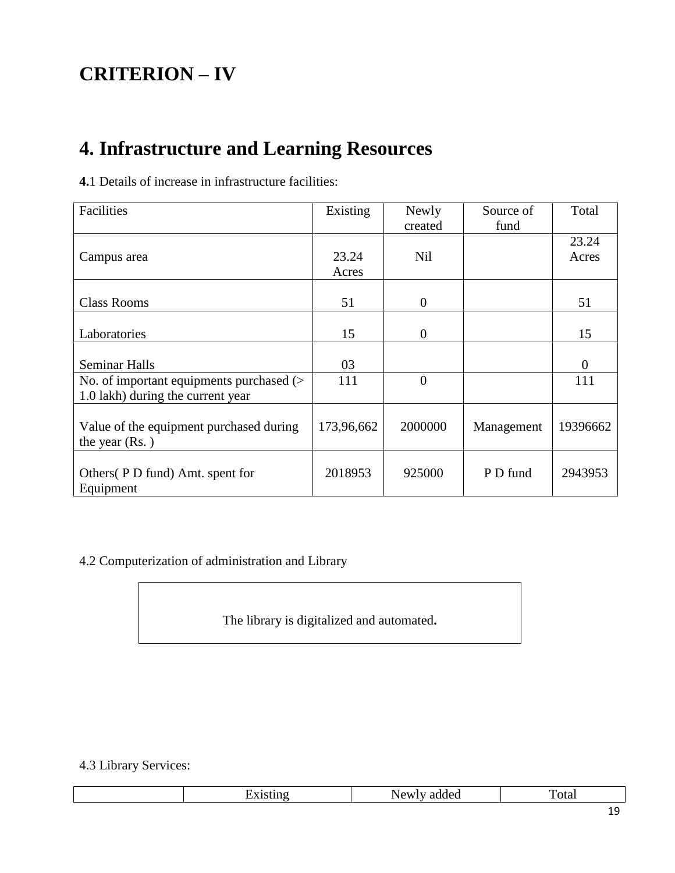# **CRITERION – IV**

# **4. Infrastructure and Learning Resources**

|  |  |  |  |  | 4.1 Details of increase in infrastructure facilities: |  |
|--|--|--|--|--|-------------------------------------------------------|--|
|--|--|--|--|--|-------------------------------------------------------|--|

| Facilities                               | Existing   | Newly          | Source of  | Total    |
|------------------------------------------|------------|----------------|------------|----------|
|                                          |            | created        | fund       |          |
|                                          |            |                |            | 23.24    |
| Campus area                              | 23.24      | Nil            |            | Acres    |
|                                          | Acres      |                |            |          |
|                                          |            |                |            |          |
| <b>Class Rooms</b>                       | 51         | $\theta$       |            | 51       |
|                                          |            |                |            |          |
| Laboratories                             | 15         | $\theta$       |            | 15       |
|                                          |            |                |            |          |
| <b>Seminar Halls</b>                     | 03         |                |            | $\theta$ |
| No. of important equipments purchased (> | 111        | $\overline{0}$ |            | 111      |
| 1.0 lakh) during the current year        |            |                |            |          |
|                                          |            |                |            |          |
| Value of the equipment purchased during  | 173,96,662 | 2000000        | Management | 19396662 |
| the year $(Rs. )$                        |            |                |            |          |
|                                          |            |                |            |          |
| Others (P D fund) Amt. spent for         | 2018953    | 925000         | P D fund   | 2943953  |
| Equipment                                |            |                |            |          |

4.2 Computerization of administration and Library

The library is digitalized and automated**.** 

### 4.3 Library Services:

|  | <b>A</b> .<br>the contract of the con- | `ota.<br>.<br>. |
|--|----------------------------------------|-----------------|
|  |                                        |                 |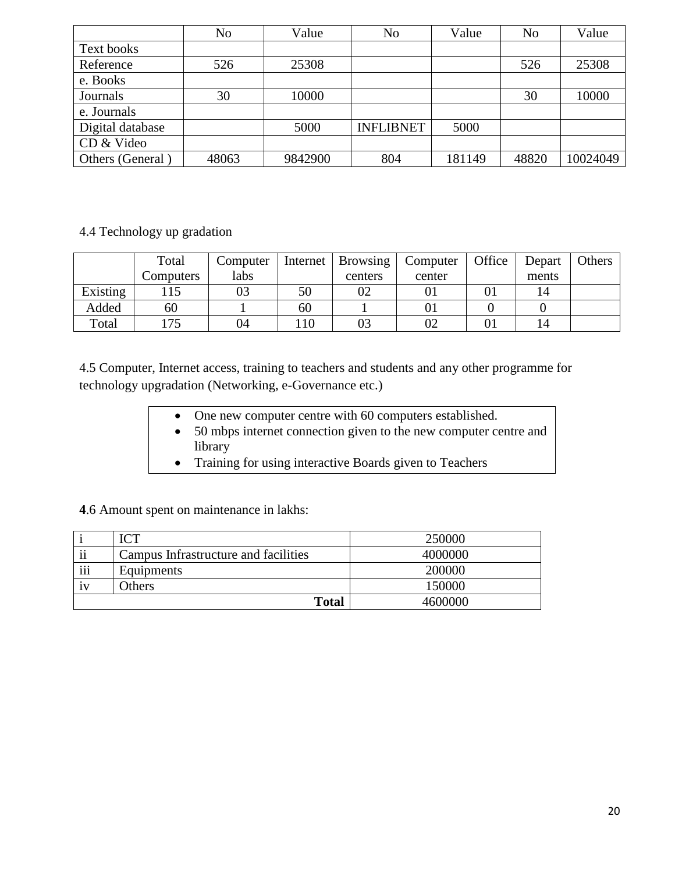|                  | No    | Value   | No               | Value  | N <sub>o</sub> | Value    |
|------------------|-------|---------|------------------|--------|----------------|----------|
| Text books       |       |         |                  |        |                |          |
| Reference        | 526   | 25308   |                  |        | 526            | 25308    |
| e. Books         |       |         |                  |        |                |          |
| Journals         | 30    | 10000   |                  |        | 30             | 10000    |
| e. Journals      |       |         |                  |        |                |          |
| Digital database |       | 5000    | <b>INFLIBNET</b> | 5000   |                |          |
| CD & Video       |       |         |                  |        |                |          |
| Others (General) | 48063 | 9842900 | 804              | 181149 | 48820          | 10024049 |

#### 4.4 Technology up gradation

|          | Total     | Computer |    | Internet   Browsing | Computer | Office | Depart | Others |
|----------|-----------|----------|----|---------------------|----------|--------|--------|--------|
|          | Computers | labs     |    | centers             | center   |        | ments  |        |
| Existing |           | 03       | 50 | 02                  |          |        | 14     |        |
| Added    | 60        |          | 60 |                     |          |        |        |        |
| Total    | 175       | 04       | 10 |                     | 02       |        | 14     |        |

4.5 Computer, Internet access, training to teachers and students and any other programme for technology upgradation (Networking, e-Governance etc.)

- One new computer centre with 60 computers established.
- 50 mbps internet connection given to the new computer centre and library
- Training for using interactive Boards given to Teachers

**4**.6 Amount spent on maintenance in lakhs:

|                      | $\mathbf{C}^{\mathbf{T}}$            | 250000  |
|----------------------|--------------------------------------|---------|
| $\ddot{\phantom{0}}$ | Campus Infrastructure and facilities | 4000000 |
| $\cdots$<br>111      | Equipments                           | 200000  |
| 1V                   | <b>Others</b>                        | 150000  |
|                      | <b>Total</b>                         | 4600000 |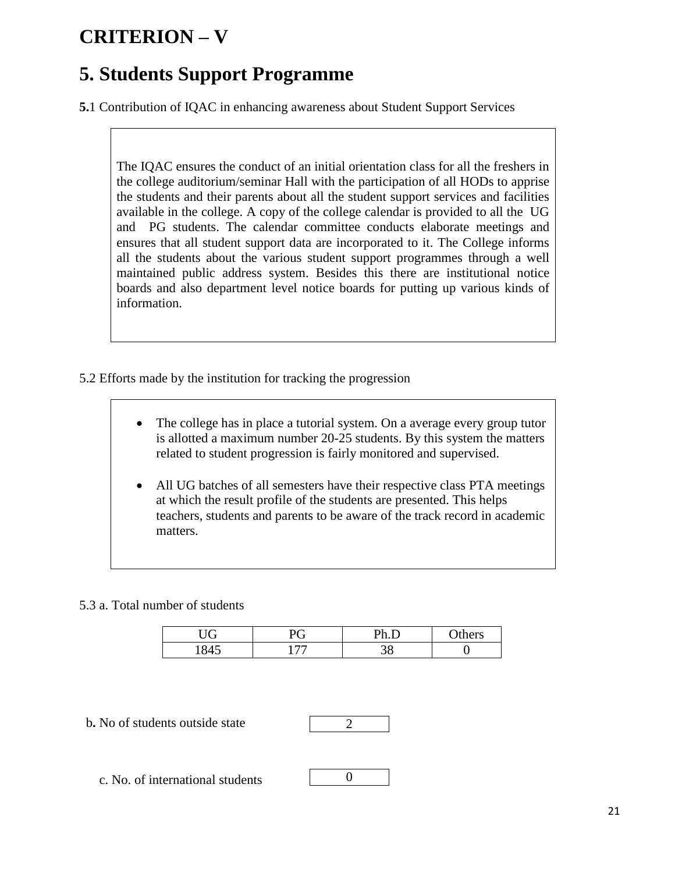# **CRITERION – V**

## **5. Students Support Programme**

**5.**1 Contribution of IQAC in enhancing awareness about Student Support Services

The IQAC ensures the conduct of an initial orientation class for all the freshers in the college auditorium/seminar Hall with the participation of all HODs to apprise the students and their parents about all the student support services and facilities available in the college. A copy of the college calendar is provided to all the UG and PG students. The calendar committee conducts elaborate meetings and ensures that all student support data are incorporated to it. The College informs all the students about the various student support programmes through a well maintained public address system. Besides this there are institutional notice boards and also department level notice boards for putting up various kinds of information.

- 5.2 Efforts made by the institution for tracking the progression
	- The college has in place a tutorial system. On a average every group tutor is allotted a maximum number 20-25 students. By this system the matters related to student progression is fairly monitored and supervised.
	- All UG batches of all semesters have their respective class PTA meetings at which the result profile of the students are presented. This helps teachers, students and parents to be aware of the track record in academic matters.

#### 5.3 a. Total number of students

| $\sqrt{2}$<br>◡ | $\mathbf{r}$<br>◡        | <b>Dh</b> | $\gamma$ thers |
|-----------------|--------------------------|-----------|----------------|
|                 | $\overline{\phantom{m}}$ | ັ<br>◡    |                |

b**.** No of students outside state



0

c. No. of international students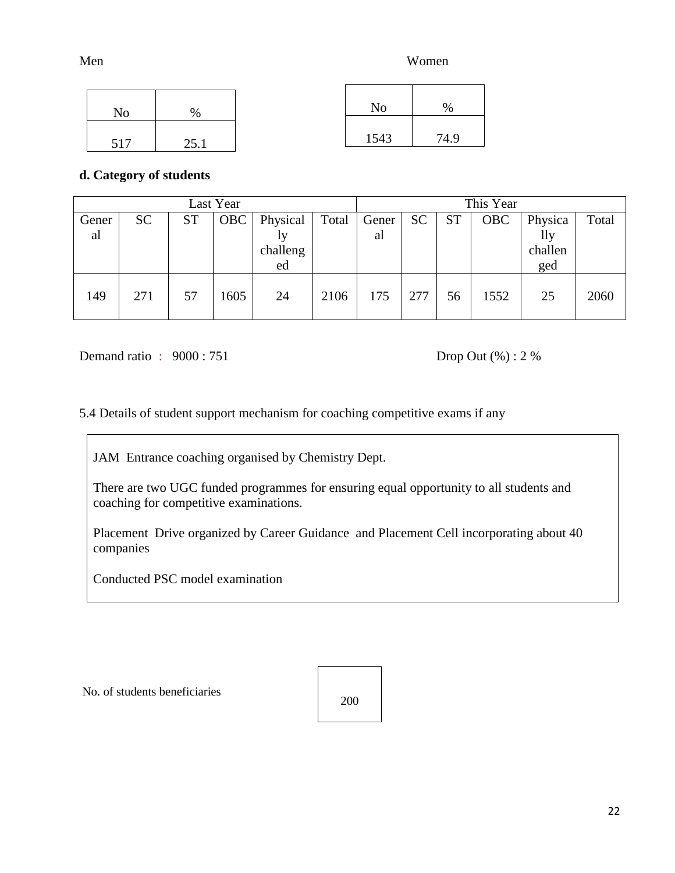MenWomen

| No  | $\%$ | No   | $\%$ |
|-----|------|------|------|
| 517 | 25.1 | 1543 | 74.9 |

#### **d. Category of students**

| Last Year   |           |           |            |                                  |       |             |           | This Year |            |                                  |       |
|-------------|-----------|-----------|------------|----------------------------------|-------|-------------|-----------|-----------|------------|----------------------------------|-------|
| Gener<br>al | <b>SC</b> | <b>ST</b> | <b>OBC</b> | Physical<br>1y<br>challeng<br>ed | Total | Gener<br>al | <b>SC</b> | <b>ST</b> | <b>OBC</b> | Physica<br>lly<br>challen<br>ged | Total |
| 149         | 271       | 57        | 1605       | 24                               | 2106  | 175         | 277       | 56        | 1552       | 25                               | 2060  |

Demand ratio :  $9000 : 751$  Drop Out (%) : 2 %

5.4 Details of student support mechanism for coaching competitive exams if any

JAM Entrance coaching organised by Chemistry Dept.

There are two UGC funded programmes for ensuring equal opportunity to all students and coaching for competitive examinations.

Placement Drive organized by Career Guidance and Placement Cell incorporating about 40 companies

Conducted PSC model examination

No. of students beneficiaries

200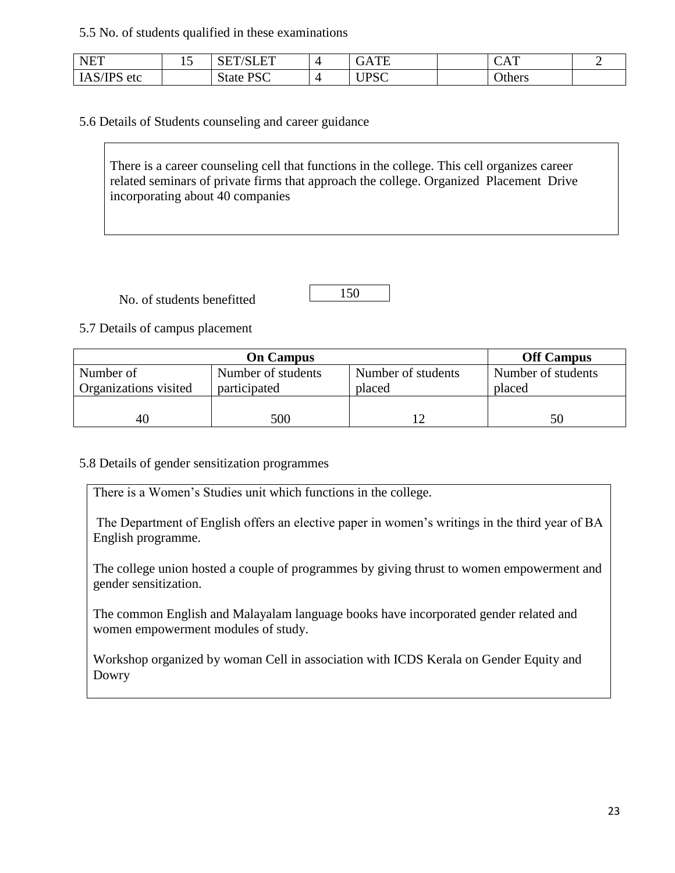#### 5.5 No. of students qualified in these examinations

| <b>NET</b>                 | ⊥ J | $T^{\prime}T^{\prime}$<br>انتبابا (۱<br><b>NLI</b> | TЕ<br>UAIE           | $\Lambda$ T<br>◡▴▴ |  |
|----------------------------|-----|----------------------------------------------------|----------------------|--------------------|--|
| 1AS/IP <sup>c</sup><br>etc |     | <b>State PSC</b>                                   | TDCC<br>$\mathbf{u}$ | Others             |  |

5.6 Details of Students counseling and career guidance

There is a career counseling cell that functions in the college. This cell organizes career related seminars of private firms that approach the college. Organized Placement Drive incorporating about 40 companies

No. of students benefitted

150

5.7 Details of campus placement

|                       | <b>Off Campus</b>  |                    |                    |
|-----------------------|--------------------|--------------------|--------------------|
| Number of             | Number of students | Number of students | Number of students |
| Organizations visited | participated       | placed             | placed             |
|                       |                    |                    |                    |
| 40                    | 500                |                    | 50                 |

#### 5.8 Details of gender sensitization programmes

There is a Women's Studies unit which functions in the college.

The Department of English offers an elective paper in women's writings in the third year of BA English programme.

The college union hosted a couple of programmes by giving thrust to women empowerment and gender sensitization.

The common English and Malayalam language books have incorporated gender related and women empowerment modules of study.

Workshop organized by woman Cell in association with ICDS Kerala on Gender Equity and Dowry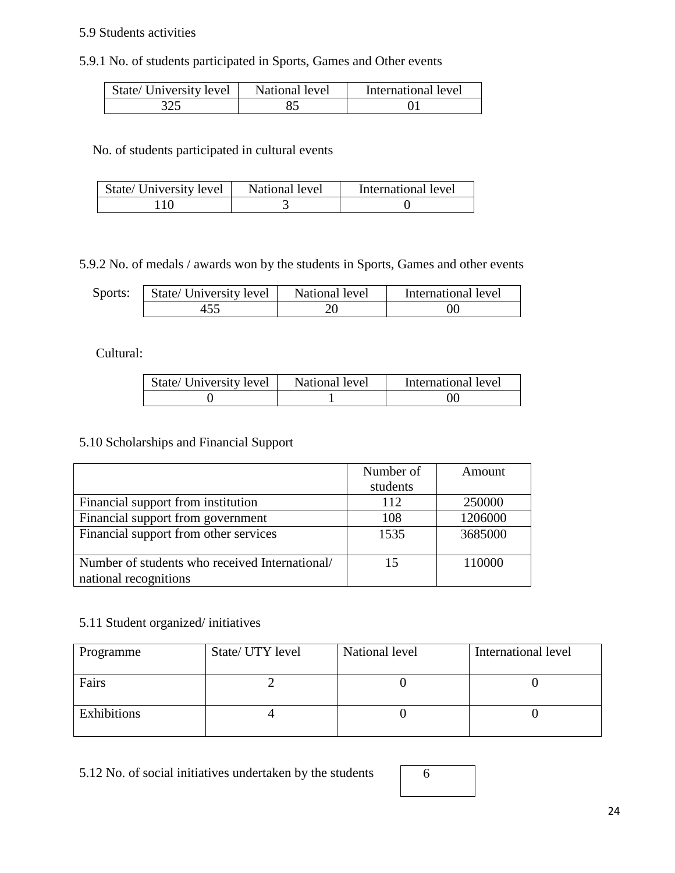#### 5.9 Students activities

#### 5.9.1 No. of students participated in Sports, Games and Other events

| State/ University level | National level | International level |
|-------------------------|----------------|---------------------|
| 325                     |                |                     |

No. of students participated in cultural events

| State/ University level | National level | International level |
|-------------------------|----------------|---------------------|
|                         |                |                     |

5.9.2 No. of medals / awards won by the students in Sports, Games and other events

| Sports: | State/ University level | National level | International level |
|---------|-------------------------|----------------|---------------------|
|         |                         |                | OO                  |

Cultural:

| State/ University level | National level | International level |
|-------------------------|----------------|---------------------|
|                         |                | ОC                  |

#### 5.10 Scholarships and Financial Support

|                                                | Number of | Amount  |
|------------------------------------------------|-----------|---------|
|                                                | students  |         |
| Financial support from institution             | 112       | 250000  |
| Financial support from government              | 108       | 1206000 |
| Financial support from other services          | 1535      | 3685000 |
|                                                |           |         |
| Number of students who received International/ | 15        | 110000  |
| national recognitions                          |           |         |

#### 5.11 Student organized/ initiatives

| Programme   | State/ UTY level | National level | International level |
|-------------|------------------|----------------|---------------------|
| Fairs       |                  |                |                     |
| Exhibitions |                  |                |                     |

5.12 No. of social initiatives undertaken by the students

| 6 |  |  |
|---|--|--|
|   |  |  |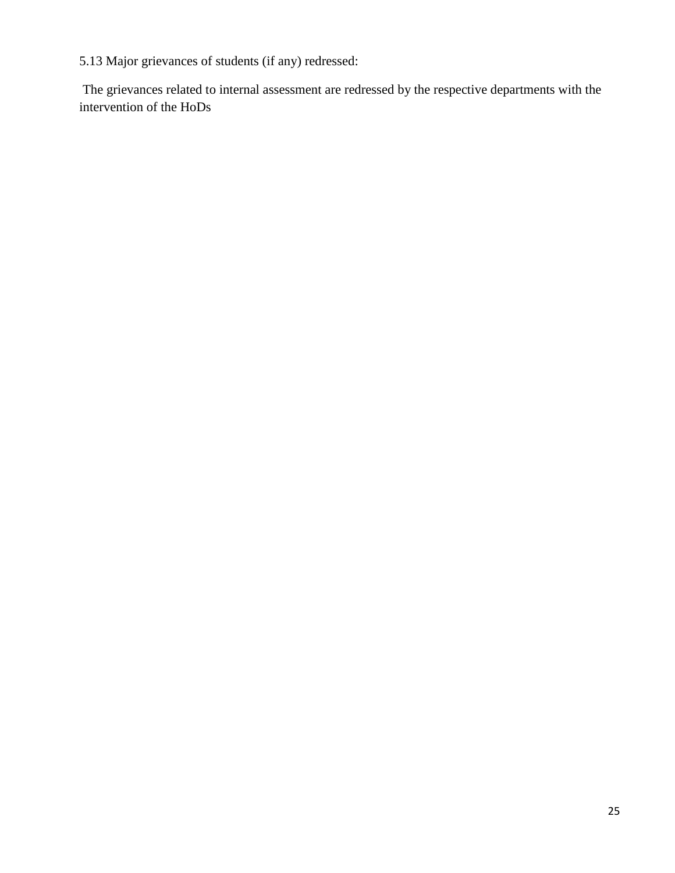5.13 Major grievances of students (if any) redressed:

The grievances related to internal assessment are redressed by the respective departments with the intervention of the HoDs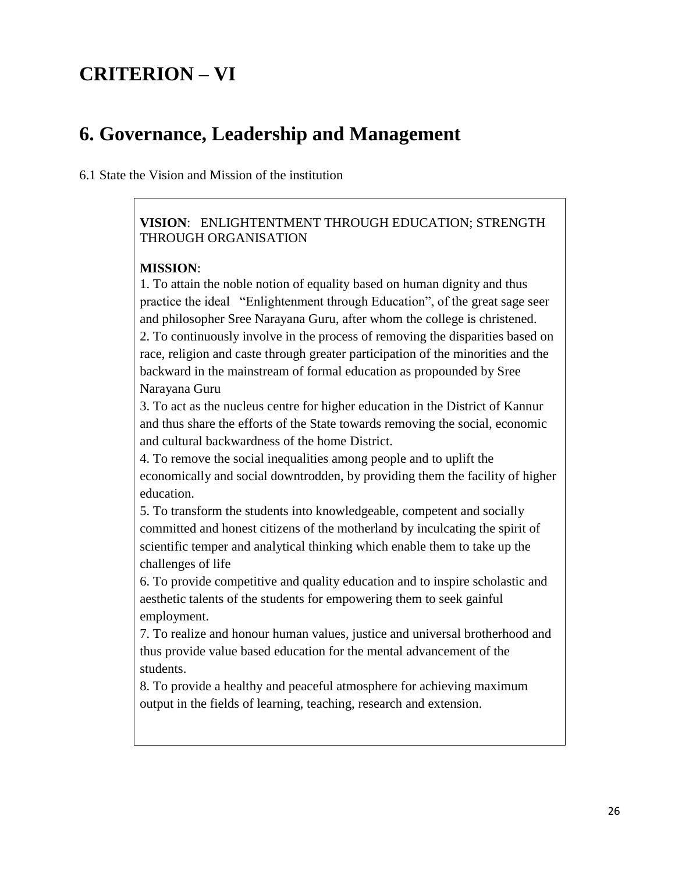## **CRITERION – VI**

## **6. Governance, Leadership and Management**

6.1 State the Vision and Mission of the institution

#### **VISION**: ENLIGHTENTMENT THROUGH EDUCATION; STRENGTH THROUGH ORGANISATION

#### **MISSION**:

1. To attain the noble notion of equality based on human dignity and thus practice the ideal "Enlightenment through Education", of the great sage seer and philosopher Sree Narayana Guru, after whom the college is christened. 2. To continuously involve in the process of removing the disparities based on race, religion and caste through greater participation of the minorities and the backward in the mainstream of formal education as propounded by Sree Narayana Guru

3. To act as the nucleus centre for higher education in the District of Kannur and thus share the efforts of the State towards removing the social, economic and cultural backwardness of the home District.

4. To remove the social inequalities among people and to uplift the economically and social downtrodden, by providing them the facility of higher education.

5. To transform the students into knowledgeable, competent and socially committed and honest citizens of the motherland by inculcating the spirit of scientific temper and analytical thinking which enable them to take up the challenges of life

6. To provide competitive and quality education and to inspire scholastic and aesthetic talents of the students for empowering them to seek gainful employment.

7. To realize and honour human values, justice and universal brotherhood and thus provide value based education for the mental advancement of the students.

8. To provide a healthy and peaceful atmosphere for achieving maximum output in the fields of learning, teaching, research and extension.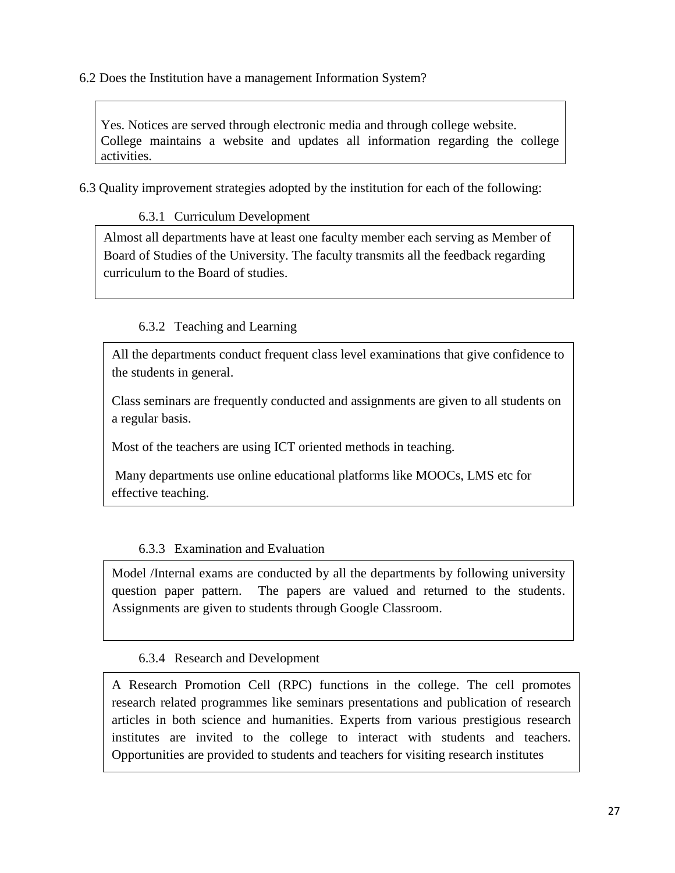6.2 Does the Institution have a management Information System?

Yes. Notices are served through electronic media and through college website. College maintains a website and updates all information regarding the college activities.

6.3 Quality improvement strategies adopted by the institution for each of the following:

#### 6.3.1 Curriculum Development

Almost all departments have at least one faculty member each serving as Member of Board of Studies of the University. The faculty transmits all the feedback regarding curriculum to the Board of studies.

#### 6.3.2 Teaching and Learning

All the departments conduct frequent class level examinations that give confidence to the students in general.

Class seminars are frequently conducted and assignments are given to all students on a regular basis.

Most of the teachers are using ICT oriented methods in teaching.

Many departments use online educational platforms like MOOCs, LMS etc for effective teaching.

#### 6.3.3 Examination and Evaluation

Model /Internal exams are conducted by all the departments by following university question paper pattern. The papers are valued and returned to the students. Assignments are given to students through Google Classroom.

#### 6.3.4 Research and Development

A Research Promotion Cell (RPC) functions in the college. The cell promotes research related programmes like seminars presentations and publication of research articles in both science and humanities. Experts from various prestigious research institutes are invited to the college to interact with students and teachers. Opportunities are provided to students and teachers for visiting research institutes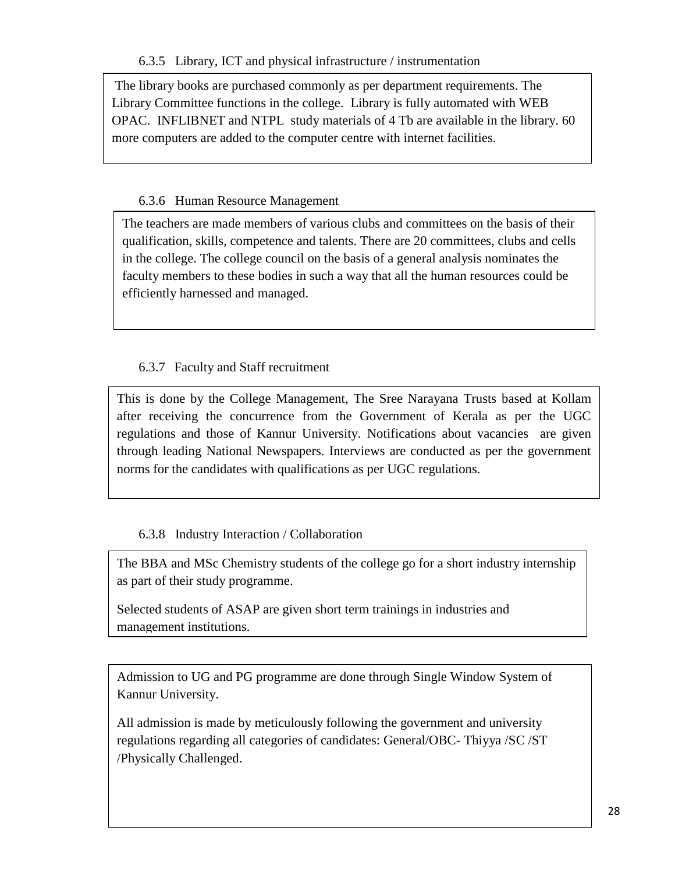The library books are purchased commonly as per department requirements. The Library Committee functions in the college. Library is fully automated with WEB OPAC. INFLIBNET and NTPL study materials of 4 Tb are available in the library. 60 more computers are added to the computer centre with internet facilities.

### 6.3.6 Human Resource Management

the departments in the departments in the college so that the students and teachers could update and enrich The teachers are made members of various clubs and committees on the basis of their qualification, skills, competence and talents. There are 20 committees, clubs and cells in the college. The college council on the basis of a general analysis nominates the faculty members to these bodies in such a way that all the human resources could be efficiently harnessed and managed.

#### 6.3.7 Faculty and Staff recruitment

This is done by the College Management, The Sree Narayana Trusts based at Kollam after receiving the concurrence from the Government of Kerala as per the UGC regulations and those of Kannur University. Notifications about vacancies are given through leading National Newspapers. Interviews are conducted as per the government norms for the candidates with qualifications as per UGC regulations.

#### 6.3.8 Industry Interaction / Collaboration

The BBA and MSc Chemistry students of the college go for a short industry internship as part of their study programme.

Selected students of ASAP are given short term trainings in industries and management institutions.

Admission to UG and PG programme are done through Single Window System of Kannur University.

All admission is made by meticulously following the government and university regulations regarding all categories of candidates: General/OBC- Thiyya /SC /ST /Physically Challenged.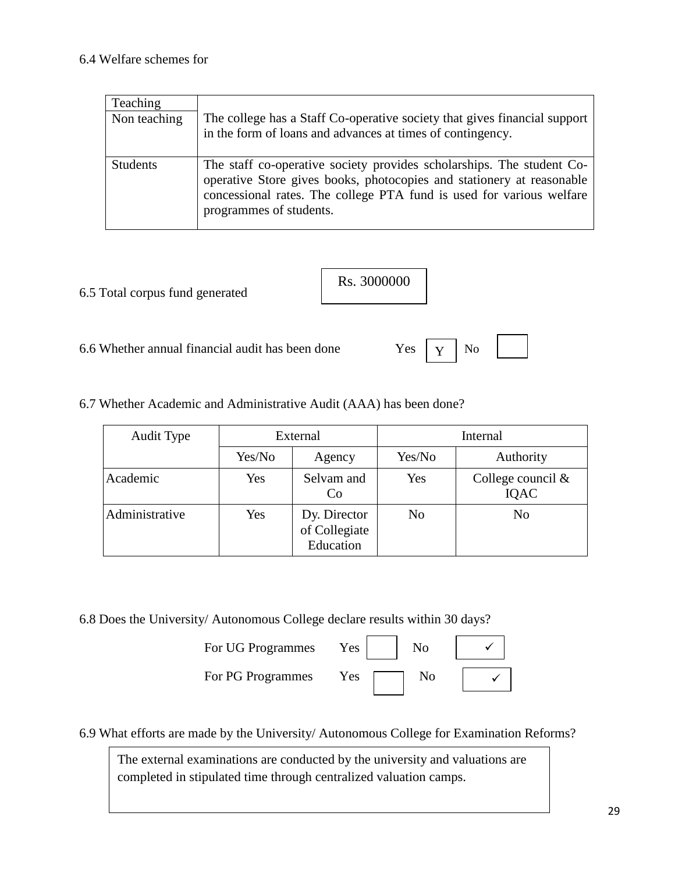| Teaching        | The college has a Staff Co-operative society that gives financial support                                                                                                                                                                         |
|-----------------|---------------------------------------------------------------------------------------------------------------------------------------------------------------------------------------------------------------------------------------------------|
| Non teaching    | in the form of loans and advances at times of contingency.                                                                                                                                                                                        |
| <b>Students</b> | The staff co-operative society provides scholarships. The student Co-<br>operative Store gives books, photocopies and stationery at reasonable<br>concessional rates. The college PTA fund is used for various welfare<br>programmes of students. |

6.5 Total corpus fund generated

| Rs. 3000000 |
|-------------|
|             |

6.6 Whether annual financial audit has been done Yes  $\vert \mathbf{y} \vert$  No

Y

6.7 Whether Academic and Administrative Audit (AAA) has been done?

| Audit Type     | External |                                            | Internal |                              |
|----------------|----------|--------------------------------------------|----------|------------------------------|
|                | Yes/No   | Agency                                     | Yes/No   | Authority                    |
| Academic       | Yes      | Selvam and<br>C <sub>0</sub>               | Yes      | College council $\&$<br>IQAC |
| Administrative | Yes      | Dy. Director<br>of Collegiate<br>Education | No       | No                           |

6.8 Does the University/ Autonomous College declare results within 30 days?

For UG Programmes Yes For PG Programmes Yes

| N <sub>o</sub> |  |
|----------------|--|
| No             |  |

| ✓ |  |
|---|--|

6.9 What efforts are made by the University/ Autonomous College for Examination Reforms?

The external examinations are conducted by the university and valuations are completed in stipulated time through centralized valuation camps.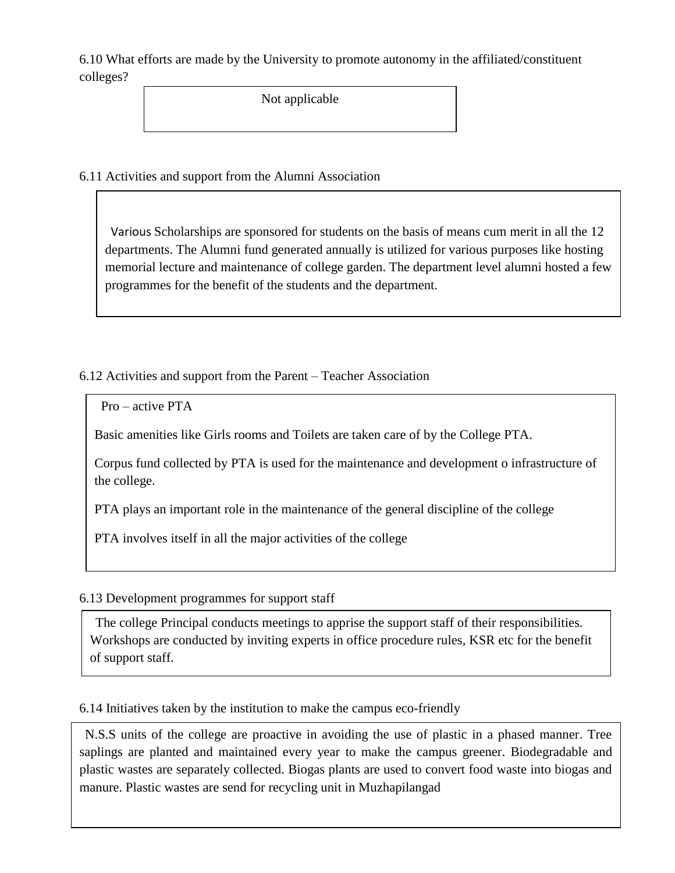6.10 What efforts are made by the University to promote autonomy in the affiliated/constituent colleges?

Not applicable

6.11 Activities and support from the Alumni Association

 Various Scholarships are sponsored for students on the basis of means cum merit in all the 12 departments. The Alumni fund generated annually is utilized for various purposes like hosting memorial lecture and maintenance of college garden. The department level alumni hosted a few programmes for the benefit of the students and the department.

6.12 Activities and support from the Parent – Teacher Association

```
 Pro – active PTA
```
Basic amenities like Girls rooms and Toilets are taken care of by the College PTA.

Corpus fund collected by PTA is used for the maintenance and development o infrastructure of the college.

PTA plays an important role in the maintenance of the general discipline of the college

PTA involves itself in all the major activities of the college

#### 6.13 Development programmes for support staff

 The college Principal conducts meetings to apprise the support staff of their responsibilities. Workshops are conducted by inviting experts in office procedure rules, KSR etc for the benefit of support staff.

6.14 Initiatives taken by the institution to make the campus eco-friendly

 N.S.S units of the college are proactive in avoiding the use of plastic in a phased manner. Tree saplings are planted and maintained every year to make the campus greener. Biodegradable and plastic wastes are separately collected. Biogas plants are used to convert food waste into biogas and manure. Plastic wastes are send for recycling unit in Muzhapilangad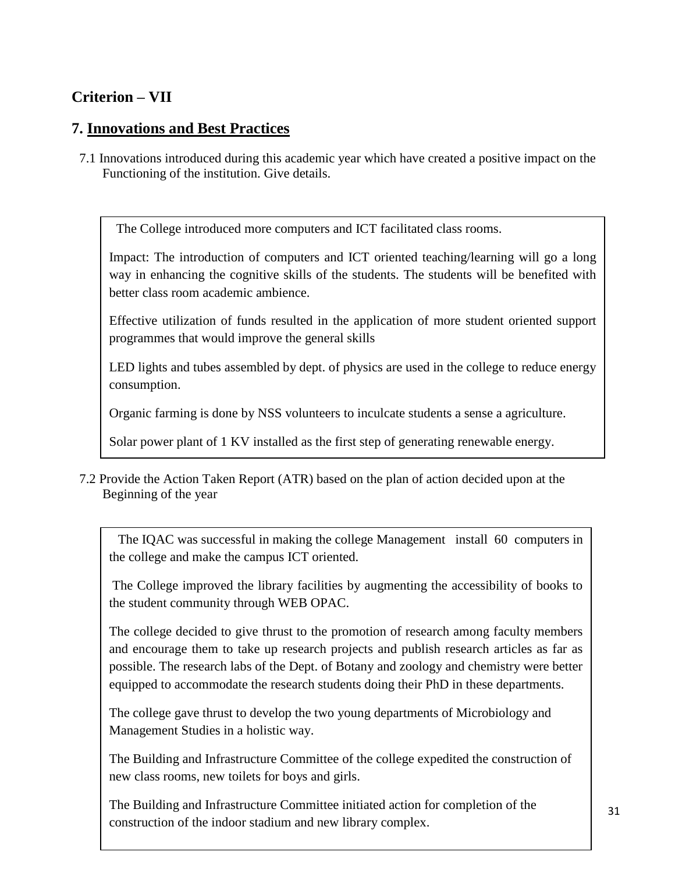### **Criterion – VII**

### **7. Innovations and Best Practices**

7.1 Innovations introduced during this academic year which have created a positive impact on the Functioning of the institution. Give details.

The College introduced more computers and ICT facilitated class rooms.

Impact: The introduction of computers and ICT oriented teaching/learning will go a long way in enhancing the cognitive skills of the students. The students will be benefited with better class room academic ambience.

Effective utilization of funds resulted in the application of more student oriented support programmes that would improve the general skills

LED lights and tubes assembled by dept. of physics are used in the college to reduce energy consumption.

Organic farming is done by NSS volunteers to inculcate students a sense a agriculture.

Solar power plant of 1 KV installed as the first step of generating renewable energy.

7.2 Provide the Action Taken Report (ATR) based on the plan of action decided upon at the Beginning of the year

 The IQAC was successful in making the college Management install 60 computers in the college and make the campus ICT oriented.

The College improved the library facilities by augmenting the accessibility of books to the student community through WEB OPAC.

The college decided to give thrust to the promotion of research among faculty members and encourage them to take up research projects and publish research articles as far as possible. The research labs of the Dept. of Botany and zoology and chemistry were better equipped to accommodate the research students doing their PhD in these departments.

The college gave thrust to develop the two young departments of Microbiology and Management Studies in a holistic way.

The Building and Infrastructure Committee of the college expedited the construction of new class rooms, new toilets for boys and girls.

The Building and Infrastructure Committee initiated action for completion of the construction of the indoor stadium and new library complex.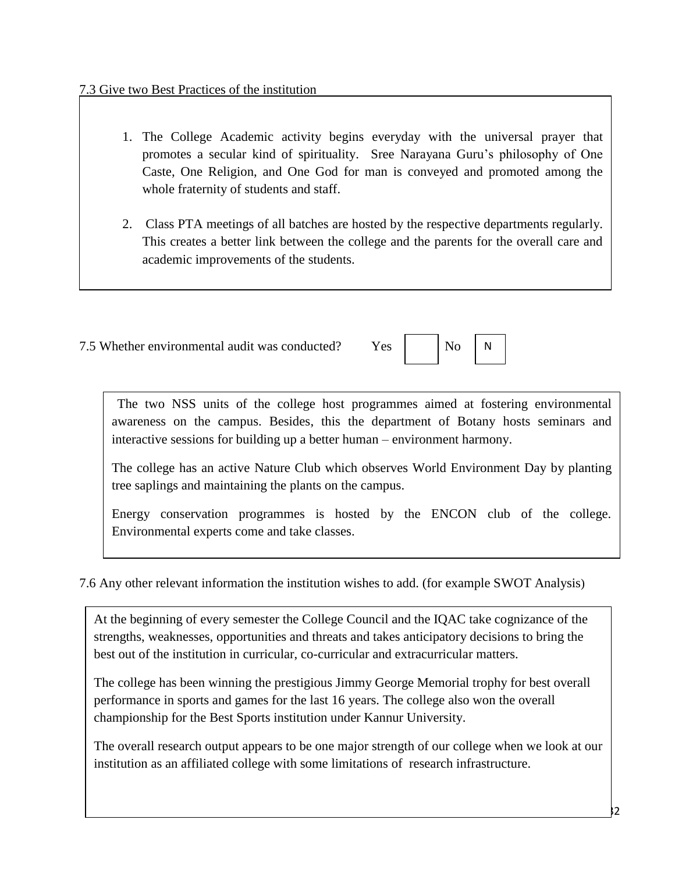- 1. The College Academic activity begins everyday with the universal prayer that promotes a secular kind of spirituality. Sree Narayana Guru's philosophy of One Caste, One Religion, and One God for man is conveyed and promoted among the whole fraternity of students and staff.
- academic improvements of the students. 2. Class PTA meetings of all batches are hosted by the respective departments regularly. This creates a better link between the college and the parents for the overall care and

7.5 Whether environmental audit was conducted? Yes No

| ٠ |  |
|---|--|
|   |  |

N o

 The two NSS units of the college host programmes aimed at fostering environmental awareness on the campus. Besides, this the department of Botany hosts seminars and interactive sessions for building up a better human – environment harmony.

The college has an active Nature Club which observes World Environment Day by planting tree saplings and maintaining the plants on the campus.

Energy conservation programmes is hosted by the ENCON club of the college. Environmental experts come and take classes.

7.6 Any other relevant information the institution wishes to add. (for example SWOT Analysis)

At the beginning of every semester the College Council and the IQAC take cognizance of the strengths, weaknesses, opportunities and threats and takes anticipatory decisions to bring the best out of the institution in curricular, co-curricular and extracurricular matters.

The college has been winning the prestigious Jimmy George Memorial trophy for best overall performance in sports and games for the last 16 years. The college also won the overall championship for the Best Sports institution under Kannur University.

The overall research output appears to be one major strength of our college when we look at our institution as an affiliated college with some limitations of research infrastructure.